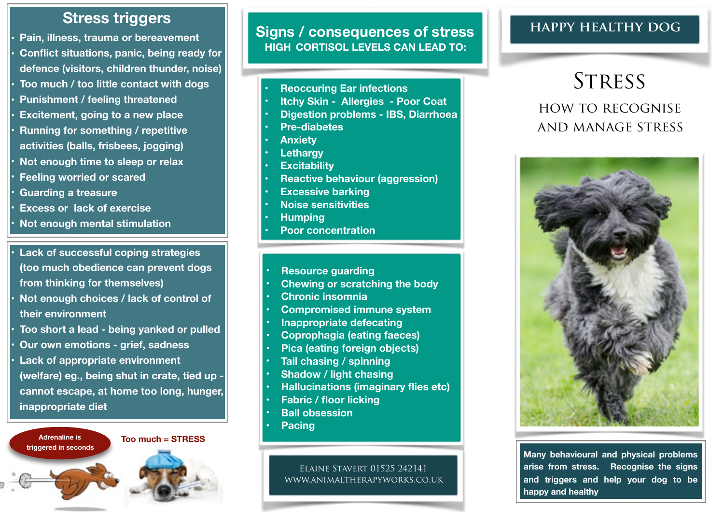## **Stress triggers**

**• Pain, illness, trauma or bereavement • Conflict situations, panic, being ready for defence (visitors, children thunder, noise) • Too much / too little contact with dogs • Punishment / feeling threatened • Excitement, going to a new place • Running for something / repetitive activities (balls, frisbees, jogging) • Not enough time to sleep or relax • Feeling worried or scared • Guarding a treasure • Excess or lack of exercise** 

**• Not enough mental stimulation**

- **• Lack of successful coping strategies (too much obedience can prevent dogs from thinking for themselves)**
- **• Not enough choices / lack of control of their environment**
- **• Too short a lead being yanked or pulled • Our own emotions - grief, sadness**
- 
- **• Lack of appropriate environment (welfare) eg., being shut in crate, tied up cannot escape, at home too long, hunger, inappropriate diet**



**Signs / consequences of stress HIGH CORTISOL LEVELS CAN LEAD TO:** 

- **• Reoccuring Ear infections**
- **• Itchy Skin Allergies Poor Coat**
- **• Digestion problems IBS, Diarrhoea**
- **• Pre-diabetes**
- **• Anxiety**
- **• Lethargy**
- **• Excitability**
- **• Reactive behaviour (aggression)**
- **• Excessive barking**
- **• Noise sensitivities**
- **• Humping**
- **• Poor concentration**
- **• Resource guarding**
- **• Chewing or scratching the body**
- **• Chronic insomnia**
- **• Compromised immune system**
- **• Inappropriate defecating**
- **• Coprophagia (eating faeces)**
- **• Pica (eating foreign objects)**
- **• Tail chasing / spinning**
- **• Shadow / light chasing**
- **• Hallucinations (imaginary flies etc)**
- **• Fabric / floor licking**
- **• Ball obsession**
- **• Pacing**

Elaine Stavert 01525 242141 [www.animaltherapyworks.co.uk](http://www.animaltherapyworks.co.uk)

### **happy healthy dog**

# **STRESS** how to recognise and manage stress



**Many behavioural and physical problems arise from stress. Recognise the signs and triggers and help your dog to be happy and healthy**